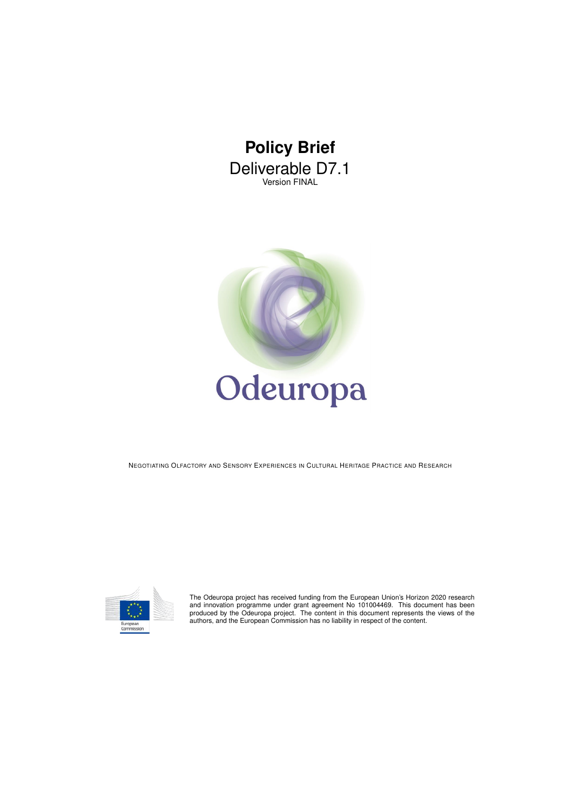# **Policy Brief** Deliverable D7.1 Version FINAL



NEGOTIATING OLFACTORY AND SENSORY EXPERIENCES IN CULTURAL HERITAGE PRACTICE AND RESEARCH



The Odeuropa project has received funding from the European Union's Horizon 2020 research<br>and innovation programme under grant agreement No 101004469. This document has been<br>produced by the Odeuropa project. The content in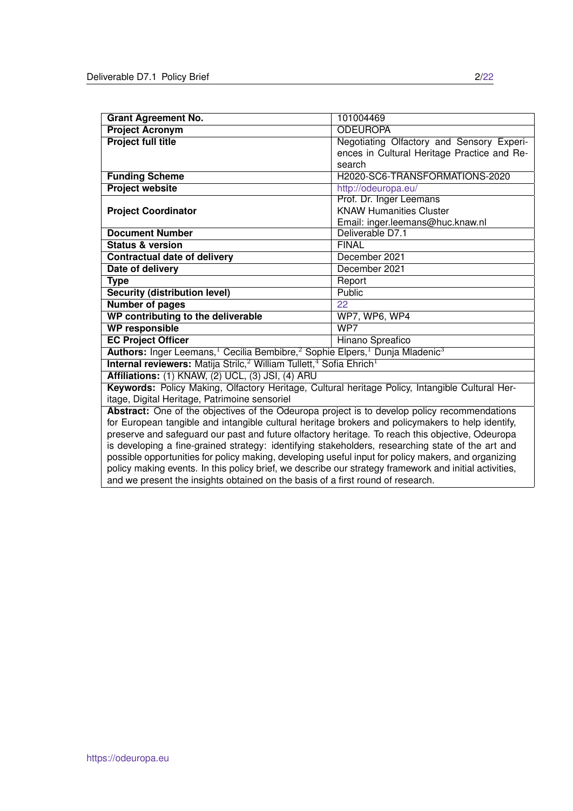| <b>Grant Agreement No.</b>                                                                                                  | 101004469                                   |  |  |  |
|-----------------------------------------------------------------------------------------------------------------------------|---------------------------------------------|--|--|--|
| <b>Project Acronym</b>                                                                                                      | <b>ODEUROPA</b>                             |  |  |  |
| <b>Project full title</b>                                                                                                   | Negotiating Olfactory and Sensory Experi-   |  |  |  |
|                                                                                                                             | ences in Cultural Heritage Practice and Re- |  |  |  |
|                                                                                                                             | search                                      |  |  |  |
| <b>Funding Scheme</b>                                                                                                       | H2020-SC6-TRANSFORMATIONS-2020              |  |  |  |
| <b>Project website</b>                                                                                                      | http://odeuropa.eu/                         |  |  |  |
|                                                                                                                             | Prof. Dr. Inger Leemans                     |  |  |  |
| <b>Project Coordinator</b>                                                                                                  | <b>KNAW Humanities Cluster</b>              |  |  |  |
|                                                                                                                             | Email: inger.leemans@huc.knaw.nl            |  |  |  |
| <b>Document Number</b>                                                                                                      | Deliverable D7.1                            |  |  |  |
| <b>Status &amp; version</b>                                                                                                 | <b>FINAL</b>                                |  |  |  |
| <b>Contractual date of delivery</b>                                                                                         | December 2021                               |  |  |  |
| Date of delivery                                                                                                            | December 2021                               |  |  |  |
| <b>Type</b>                                                                                                                 | Report                                      |  |  |  |
| <b>Security (distribution level)</b>                                                                                        | Public                                      |  |  |  |
| <b>Number of pages</b>                                                                                                      | $\overline{22}$                             |  |  |  |
| WP contributing to the deliverable                                                                                          | <b>WP7, WP6, WP4</b>                        |  |  |  |
| <b>WP responsible</b>                                                                                                       | WPT                                         |  |  |  |
| <b>EC Project Officer</b>                                                                                                   | Hinano Spreafico                            |  |  |  |
| Authors: Inger Leemans, <sup>1</sup> Cecilia Bembibre, <sup>2</sup> Sophie Elpers, <sup>1</sup> Dunja Mladenic <sup>3</sup> |                                             |  |  |  |
| <b>Internal reviewers:</b> Matija Strilc, <sup>2</sup> William Tullett, <sup>4</sup> Sofia Ehrich <sup>1</sup>              |                                             |  |  |  |
| Affiliations: (1) KNAW, (2) UCL, (3) JSI, (4) ARU                                                                           |                                             |  |  |  |
| Keywords: Policy Making, Olfactory Heritage, Cultural heritage Policy, Intangible Cultural Her-                             |                                             |  |  |  |
| itage, Digital Heritage, Patrimoine sensoriel                                                                               |                                             |  |  |  |
| Abstract: One of the objectives of the Odeuropa project is to develop policy recommendations                                |                                             |  |  |  |
| for European tangible and intangible cultural heritage brokers and policymakers to help identify,                           |                                             |  |  |  |
| preserve and safeguard our past and future olfactory heritage. To reach this objective, Odeuropa                            |                                             |  |  |  |
| is developing a fine-grained strategy: identifying stakeholders, researching state of the art and                           |                                             |  |  |  |
| possible opportunities for policy making, developing useful input for policy makers, and organizing                         |                                             |  |  |  |
| policy making events. In this policy brief, we describe our strategy framework and initial activities,                      |                                             |  |  |  |
| and we present the insights obtained on the basis of a first round of research.                                             |                                             |  |  |  |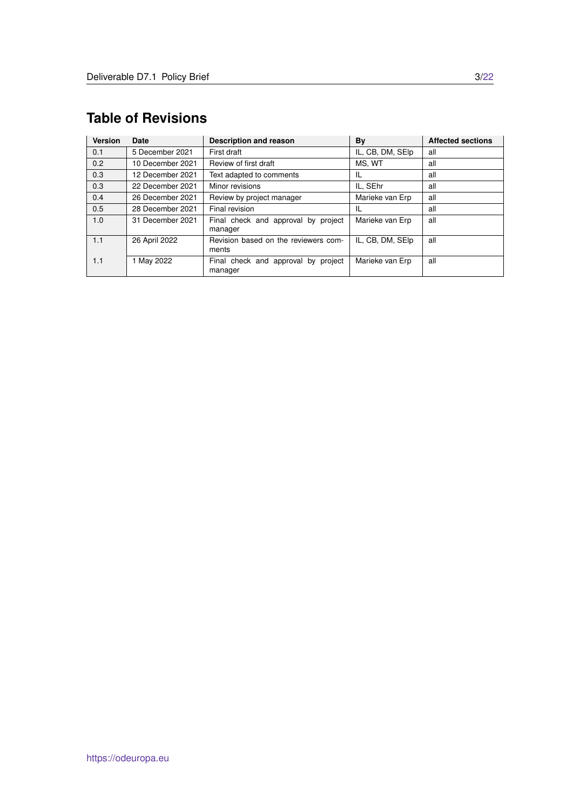# <span id="page-2-0"></span>**Table of Revisions**

| <b>Version</b> | Date             | Description and reason                         | By               | <b>Affected sections</b> |
|----------------|------------------|------------------------------------------------|------------------|--------------------------|
| 0.1            | 5 December 2021  | First draft                                    | IL, CB, DM, SEIp | all                      |
| 0.2            | 10 December 2021 | Review of first draft                          | MS, WT           | all                      |
| 0.3            | 12 December 2021 | Text adapted to comments                       | IL.              | all                      |
| 0.3            | 22 December 2021 | Minor revisions                                | IL, SEhr         | all                      |
| 0.4            | 26 December 2021 | Review by project manager                      | Marieke van Erp  | all                      |
| 0.5            | 28 December 2021 | Final revision                                 | IL               | all                      |
| 1.0            | 31 December 2021 | Final check and approval by project<br>manager | Marieke van Erp  | all                      |
| 1.1            | 26 April 2022    | Revision based on the reviewers com-<br>ments  | IL, CB, DM, SEIp | all                      |
| 1.1            | 1 May 2022       | Final check and approval by project<br>manager | Marieke van Erp  | all                      |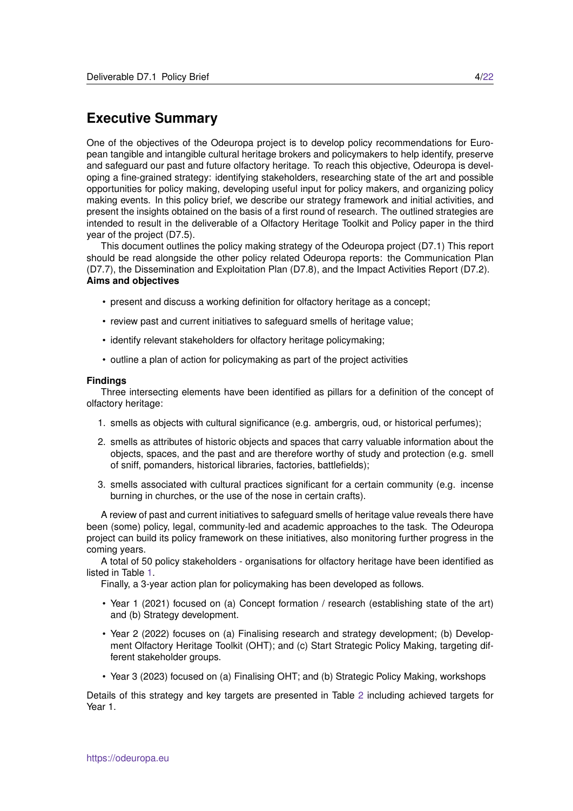## **Executive Summary**

One of the objectives of the Odeuropa project is to develop policy recommendations for European tangible and intangible cultural heritage brokers and policymakers to help identify, preserve and safeguard our past and future olfactory heritage. To reach this objective, Odeuropa is developing a fine-grained strategy: identifying stakeholders, researching state of the art and possible opportunities for policy making, developing useful input for policy makers, and organizing policy making events. In this policy brief, we describe our strategy framework and initial activities, and present the insights obtained on the basis of a first round of research. The outlined strategies are intended to result in the deliverable of a Olfactory Heritage Toolkit and Policy paper in the third year of the project (D7.5).

This document outlines the policy making strategy of the Odeuropa project (D7.1) This report should be read alongside the other policy related Odeuropa reports: the Communication Plan (D7.7), the Dissemination and Exploitation Plan (D7.8), and the Impact Activities Report (D7.2). **Aims and objectives**

- present and discuss a working definition for olfactory heritage as a concept;
- review past and current initiatives to safeguard smells of heritage value;
- identify relevant stakeholders for olfactory heritage policymaking;
- outline a plan of action for policymaking as part of the project activities

#### **Findings**

Three intersecting elements have been identified as pillars for a definition of the concept of olfactory heritage:

- 1. smells as objects with cultural significance (e.g. ambergris, oud, or historical perfumes);
- 2. smells as attributes of historic objects and spaces that carry valuable information about the objects, spaces, and the past and are therefore worthy of study and protection (e.g. smell of sniff, pomanders, historical libraries, factories, battlefields);
- 3. smells associated with cultural practices significant for a certain community (e.g. incense burning in churches, or the use of the nose in certain crafts).

A review of past and current initiatives to safeguard smells of heritage value reveals there have been (some) policy, legal, community-led and academic approaches to the task. The Odeuropa project can build its policy framework on these initiatives, also monitoring further progress in the coming years.

A total of 50 policy stakeholders - organisations for olfactory heritage have been identified as listed in Table [1.](#page-4-0)

Finally, a 3-year action plan for policymaking has been developed as follows.

- Year 1 (2021) focused on (a) Concept formation / research (establishing state of the art) and (b) Strategy development.
- Year 2 (2022) focuses on (a) Finalising research and strategy development; (b) Development Olfactory Heritage Toolkit (OHT); and (c) Start Strategic Policy Making, targeting different stakeholder groups.
- Year 3 (2023) focused on (a) Finalising OHT; and (b) Strategic Policy Making, workshops

Details of this strategy and key targets are presented in Table [2](#page-5-0) including achieved targets for Year 1.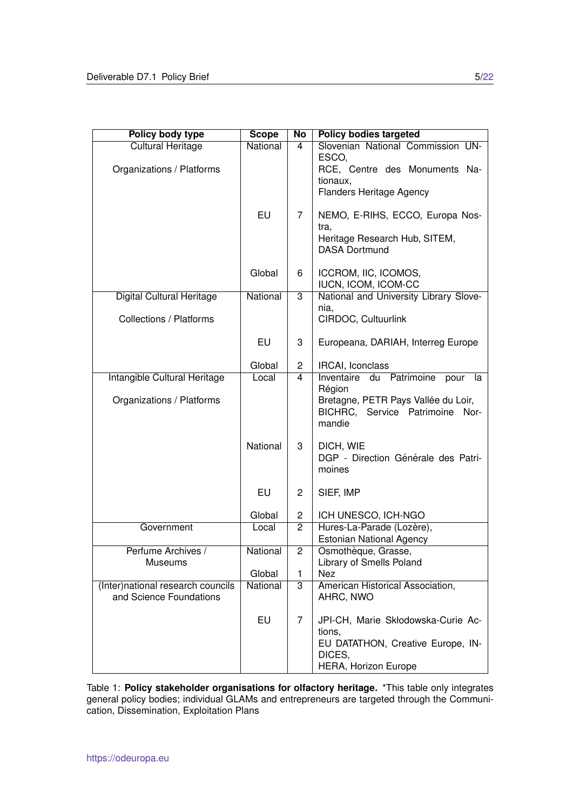| Policy body type                                             | <b>Scope</b> | No             | <b>Policy bodies targeted</b>                         |
|--------------------------------------------------------------|--------------|----------------|-------------------------------------------------------|
| <b>Cultural Heritage</b>                                     | National     | 4              | Slovenian National Commission UN-                     |
|                                                              |              |                | ESCO,                                                 |
| Organizations / Platforms                                    |              |                | RCE, Centre des Monuments Na-<br>tionaux,             |
|                                                              |              |                | <b>Flanders Heritage Agency</b>                       |
|                                                              |              |                |                                                       |
|                                                              | <b>EU</b>    | $\overline{7}$ | NEMO, E-RIHS, ECCO, Europa Nos-                       |
|                                                              |              |                | tra.                                                  |
|                                                              |              |                | Heritage Research Hub, SITEM,<br><b>DASA Dortmund</b> |
|                                                              |              |                |                                                       |
|                                                              | Global       | 6              | ICCROM, IIC, ICOMOS,                                  |
|                                                              |              |                | IUCN, ICOM, ICOM-CC                                   |
| <b>Digital Cultural Heritage</b>                             | National     | $\overline{3}$ | National and University Library Slove-                |
| Collections / Platforms                                      |              |                | nia,                                                  |
|                                                              |              |                | CIRDOC, Cultuurlink                                   |
|                                                              | <b>EU</b>    | 3              | Europeana, DARIAH, Interreg Europe                    |
|                                                              |              |                |                                                       |
|                                                              | Global       | 2              | IRCAI, Iconclass                                      |
| Intangible Cultural Heritage                                 | Local        | 4              | du Patrimoine<br>Inventaire<br>pour<br>la<br>Région   |
| Organizations / Platforms                                    |              |                | Bretagne, PETR Pays Vallée du Loir,                   |
|                                                              |              |                | BICHRC, Service Patrimoine<br>Nor-                    |
|                                                              |              |                | mandie                                                |
|                                                              | National     |                |                                                       |
|                                                              |              | 3              | DICH, WIE<br>DGP - Direction Générale des Patri-      |
|                                                              |              |                | moines                                                |
|                                                              |              |                |                                                       |
|                                                              | <b>EU</b>    | 2              | SIEF, IMP                                             |
|                                                              | Global       | $\mathbf{2}$   | ICH UNESCO, ICH-NGO                                   |
| Government                                                   | Local        | $\overline{2}$ | Hures-La-Parade (Lozère),                             |
|                                                              |              |                | <b>Estonian National Agency</b>                       |
| Perfume Archives /                                           | National     | $\overline{2}$ | Osmothèque, Grasse,                                   |
| Museums                                                      |              |                | Library of Smells Poland                              |
|                                                              | Global       | 1              | <b>Nez</b>                                            |
| (Inter)national research councils<br>and Science Foundations | National     | $\overline{3}$ | American Historical Association,<br>AHRC, NWO         |
|                                                              |              |                |                                                       |
|                                                              | EU           | 7              | JPI-CH, Marie Skłodowska-Curie Ac-                    |
|                                                              |              |                | tions,                                                |
|                                                              |              |                | EU DATATHON, Creative Europe, IN-<br>DICES,           |
|                                                              |              |                | HERA, Horizon Europe                                  |

<span id="page-4-0"></span>Table 1: **Policy stakeholder organisations for olfactory heritage.** \*This table only integrates general policy bodies; individual GLAMs and entrepreneurs are targeted through the Communication, Dissemination, Exploitation Plans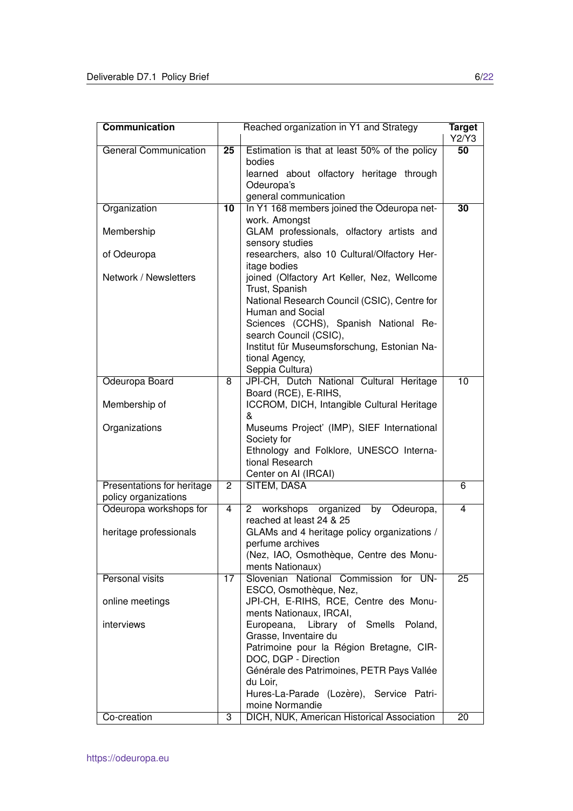<span id="page-5-0"></span>

| <b>Communication</b>         |                 | Reached organization in Y1 and Strategy                                 | <b>Target</b><br>Y2/Y3 |
|------------------------------|-----------------|-------------------------------------------------------------------------|------------------------|
| <b>General Communication</b> | $\overline{25}$ | Estimation is that at least 50% of the policy                           | 50                     |
|                              |                 | bodies                                                                  |                        |
|                              |                 | learned about olfactory heritage through<br>Odeuropa's                  |                        |
|                              |                 | general communication                                                   |                        |
| Organization                 | 10              | In Y1 168 members joined the Odeuropa net-                              | 30                     |
|                              |                 | work. Amongst                                                           |                        |
| Membership                   |                 | GLAM professionals, olfactory artists and<br>sensory studies            |                        |
| of Odeuropa                  |                 | researchers, also 10 Cultural/Olfactory Her-<br>itage bodies            |                        |
| Network / Newsletters        |                 | joined (Olfactory Art Keller, Nez, Wellcome                             |                        |
|                              |                 | Trust, Spanish<br>National Research Council (CSIC), Centre for          |                        |
|                              |                 | Human and Social                                                        |                        |
|                              |                 | Sciences (CCHS), Spanish National Re-                                   |                        |
|                              |                 | search Council (CSIC),                                                  |                        |
|                              |                 | Institut für Museumsforschung, Estonian Na-<br>tional Agency,           |                        |
|                              |                 | Seppia Cultura)                                                         |                        |
| Odeuropa Board               | 8               | JPI-CH, Dutch National Cultural Heritage                                | $\overline{10}$        |
|                              |                 | Board (RCE), E-RIHS,                                                    |                        |
| Membership of                |                 | ICCROM, DICH, Intangible Cultural Heritage<br>&                         |                        |
| Organizations                |                 | Museums Project' (IMP), SIEF International                              |                        |
|                              |                 | Society for                                                             |                        |
|                              |                 | Ethnology and Folklore, UNESCO Interna-<br>tional Research              |                        |
|                              |                 | Center on AI (IRCAI)                                                    |                        |
| Presentations for heritage   | $\overline{2}$  | <b>SITEM, DASA</b>                                                      | 6                      |
| policy organizations         |                 |                                                                         |                        |
| Odeuropa workshops for       | 4               | workshops organized<br>by<br>Odeuropa,<br>2                             | $\overline{4}$         |
| heritage professionals       |                 | reached at least 24 & 25<br>GLAMs and 4 heritage policy organizations / |                        |
|                              |                 | perfume archives                                                        |                        |
|                              |                 | (Nez, IAO, Osmothèque, Centre des Monu-                                 |                        |
|                              |                 | ments Nationaux)                                                        |                        |
| <b>Personal visits</b>       | 17              | Slovenian National Commission for UN-<br>ESCO, Osmothèque, Nez,         | 25                     |
| online meetings              |                 | JPI-CH, E-RIHS, RCE, Centre des Monu-                                   |                        |
|                              |                 | ments Nationaux, IRCAI,                                                 |                        |
| interviews                   |                 | Library of Smells<br>Europeana,<br>Poland,                              |                        |
|                              |                 | Grasse, Inventaire du<br>Patrimoine pour la Région Bretagne, CIR-       |                        |
|                              |                 | DOC, DGP - Direction                                                    |                        |
|                              |                 | Générale des Patrimoines, PETR Pays Vallée                              |                        |
|                              |                 | du Loir,                                                                |                        |
|                              |                 | Hures-La-Parade (Lozère), Service Patri-<br>moine Normandie             |                        |
| Co-creation                  | 3               | DICH, NUK, American Historical Association                              | 20                     |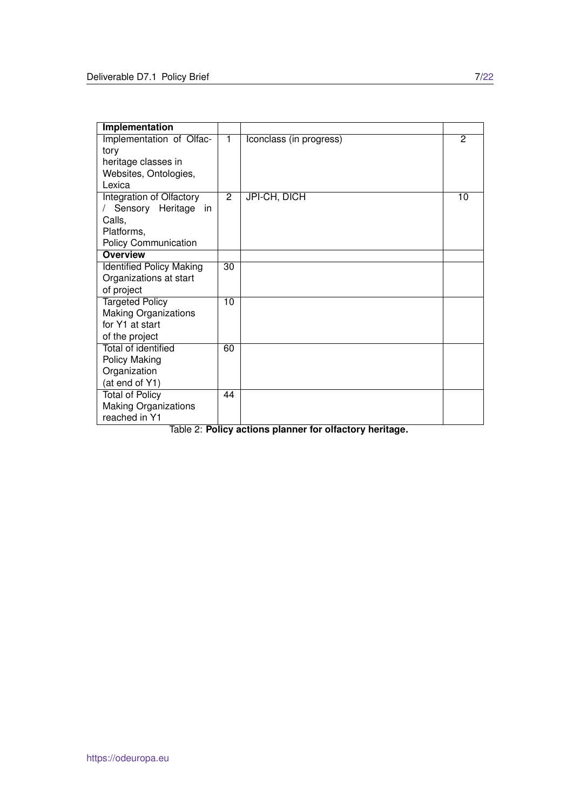| Implementation                  |                 |                         |                |
|---------------------------------|-----------------|-------------------------|----------------|
| Implementation of Olfac-        | 1               | Iconclass (in progress) | $\overline{2}$ |
| tory                            |                 |                         |                |
| heritage classes in             |                 |                         |                |
| Websites, Ontologies,           |                 |                         |                |
| Lexica                          |                 |                         |                |
| Integration of Olfactory        | $\overline{2}$  | JPI-CH, DICH            | 10             |
| Sensory Heritage in             |                 |                         |                |
| Calls,                          |                 |                         |                |
| Platforms,                      |                 |                         |                |
| <b>Policy Communication</b>     |                 |                         |                |
| <b>Overview</b>                 |                 |                         |                |
| <b>Identified Policy Making</b> | $\overline{30}$ |                         |                |
| Organizations at start          |                 |                         |                |
| of project                      |                 |                         |                |
| <b>Targeted Policy</b>          | 10              |                         |                |
| <b>Making Organizations</b>     |                 |                         |                |
| for Y1 at start                 |                 |                         |                |
| of the project                  |                 |                         |                |
| <b>Total of identified</b>      | 60              |                         |                |
| Policy Making                   |                 |                         |                |
| Organization                    |                 |                         |                |
| (at end of Y1)                  |                 |                         |                |
| <b>Total of Policy</b>          | 44              |                         |                |
| <b>Making Organizations</b>     |                 |                         |                |
| reached in Y1                   |                 |                         |                |

Table 2: **Policy actions planner for olfactory heritage.**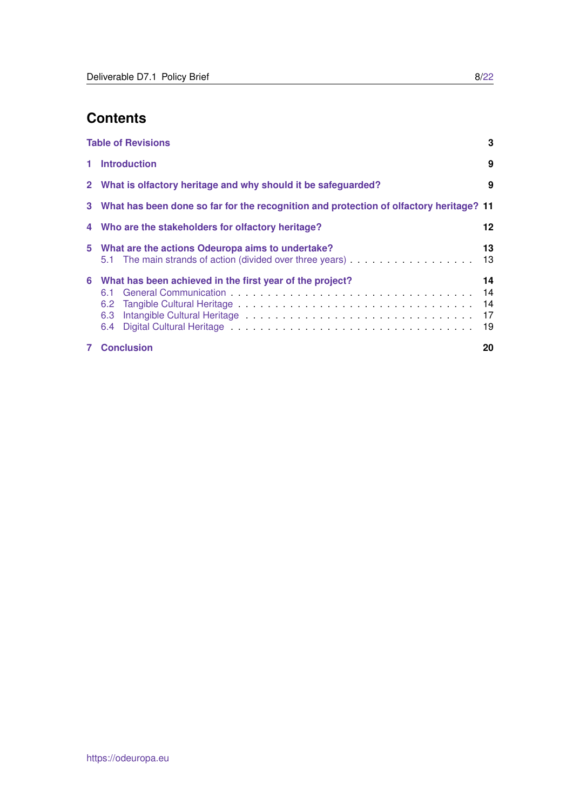# **Contents**

|                | <b>Table of Revisions</b>                                                                | 3                     |
|----------------|------------------------------------------------------------------------------------------|-----------------------|
| 1              | <b>Introduction</b>                                                                      | 9                     |
|                | 2 What is olfactory heritage and why should it be safeguarded?                           | 9                     |
|                | 3 What has been done so far for the recognition and protection of olfactory heritage? 11 |                       |
|                | 4 Who are the stakeholders for olfactory heritage?                                       | 12                    |
|                | 5 What are the actions Odeuropa aims to undertake?                                       | 13<br>13              |
|                | 6 What has been achieved in the first year of the project?<br>6.1<br>6.4                 | 14<br>14<br>-14<br>19 |
| 7 <sup>7</sup> | <b>Conclusion</b>                                                                        | 20                    |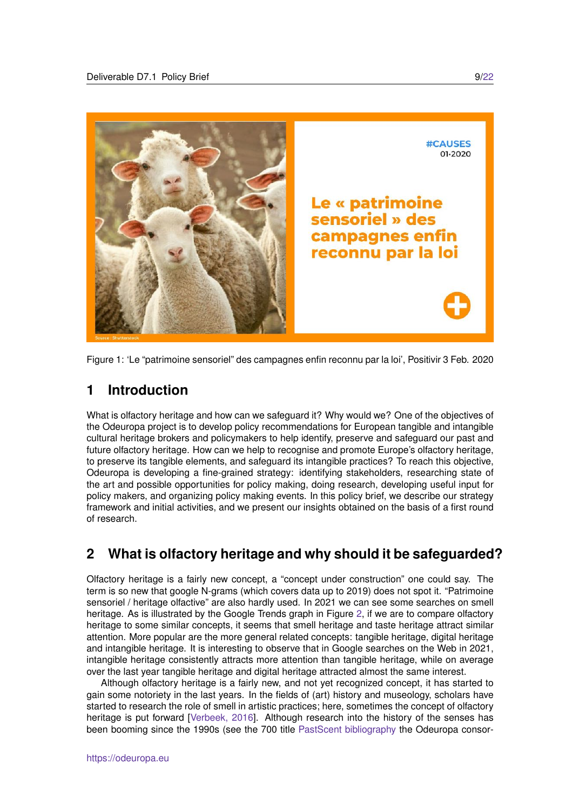

<span id="page-8-2"></span>Figure 1: 'Le "patrimoine sensoriel" des campagnes enfin reconnu par la loi', Positivir 3 Feb. 2020

## <span id="page-8-0"></span>**1 Introduction**

What is olfactory heritage and how can we safeguard it? Why would we? One of the objectives of the Odeuropa project is to develop policy recommendations for European tangible and intangible cultural heritage brokers and policymakers to help identify, preserve and safeguard our past and future olfactory heritage. How can we help to recognise and promote Europe's olfactory heritage, to preserve its tangible elements, and safeguard its intangible practices? To reach this objective, Odeuropa is developing a fine-grained strategy: identifying stakeholders, researching state of the art and possible opportunities for policy making, doing research, developing useful input for policy makers, and organizing policy making events. In this policy brief, we describe our strategy framework and initial activities, and we present our insights obtained on the basis of a first round of research.

# <span id="page-8-1"></span>**2 What is olfactory heritage and why should it be safeguarded?**

Olfactory heritage is a fairly new concept, a "concept under construction" one could say. The term is so new that google N-grams (which covers data up to 2019) does not spot it. "Patrimoine sensoriel / heritage olfactive" are also hardly used. In 2021 we can see some searches on smell heritage. As is illustrated by the Google Trends graph in Figure [2,](#page-9-0) if we are to compare olfactory heritage to some similar concepts, it seems that smell heritage and taste heritage attract similar attention. More popular are the more general related concepts: tangible heritage, digital heritage and intangible heritage. It is interesting to observe that in Google searches on the Web in 2021, intangible heritage consistently attracts more attention than tangible heritage, while on average over the last year tangible heritage and digital heritage attracted almost the same interest.

Although olfactory heritage is a fairly new, and not yet recognized concept, it has started to gain some notoriety in the last years. In the fields of (art) history and museology, scholars have started to research the role of smell in artistic practices; here, sometimes the concept of olfactory heritage is put forward [\[Verbeek, 2016\]](#page-21-1). Although research into the history of the senses has been booming since the 1990s (see the 700 title [PastScent bibliography](https://odeuropa.eu/pastscent-bibliography/) the Odeuropa consor-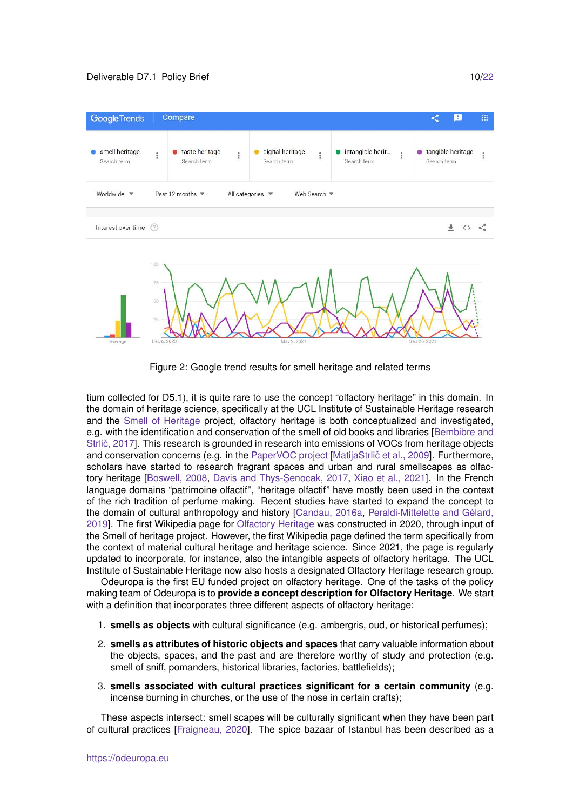

<span id="page-9-0"></span>Figure 2: Google trend results for smell heritage and related terms

tium collected for D5.1), it is quite rare to use the concept "olfactory heritage" in this domain. In the domain of heritage science, specifically at the UCL Institute of Sustainable Heritage research and the [Smell of Heritage](http://www.smellofheritage.org/) project, olfactory heritage is both conceptualized and investigated, e.g. with the identification and conservation of the smell of old books and libraries [\[Bembibre and](#page-20-0) Strlič, 2017]. This research is grounded in research into emissions of VOCs from heritage objects and conservation concerns (e.g. in the [PaperVOC project](http://www.science4heritage.org/papervoc/) [MatijaStrlič et al., 2009]. Furthermore, scholars have started to research fragrant spaces and urban and rural smellscapes as olfac-tory heritage [\[Boswell, 2008,](#page-20-1) Davis and Thys-Senocak, 2017, [Xiao et al., 2021\]](#page-21-3). In the French language domains "patrimoine olfactif", "heritage olfactif" have mostly been used in the context of the rich tradition of perfume making. Recent studies have started to expand the concept to the domain of cultural anthropology and history [\[Candau, 2016a,](#page-20-3) [Peraldi-Mittelette and Gelard,](#page-21-4) ´ [2019\]](#page-21-4). The first Wikipedia page for [Olfactory Heritage](https://en.wikipedia.org/wiki/Olfactory_heritage) was constructed in 2020, through input of the Smell of heritage project. However, the first Wikipedia page defined the term specifically from the context of material cultural heritage and heritage science. Since 2021, the page is regularly updated to incorporate, for instance, also the intangible aspects of olfactory heritage. The UCL Institute of Sustainable Heritage now also hosts a designated Olfactory Heritage research group.

Odeuropa is the first EU funded project on olfactory heritage. One of the tasks of the policy making team of Odeuropa is to **provide a concept description for Olfactory Heritage**. We start with a definition that incorporates three different aspects of olfactory heritage:

- 1. **smells as objects** with cultural significance (e.g. ambergris, oud, or historical perfumes);
- 2. **smells as attributes of historic objects and spaces** that carry valuable information about the objects, spaces, and the past and are therefore worthy of study and protection (e.g. smell of sniff, pomanders, historical libraries, factories, battlefields);
- 3. **smells associated with cultural practices significant for a certain community** (e.g. incense burning in churches, or the use of the nose in certain crafts);

These aspects intersect: smell scapes will be culturally significant when they have been part of cultural practices [\[Fraigneau, 2020\]](#page-20-4). The spice bazaar of Istanbul has been described as a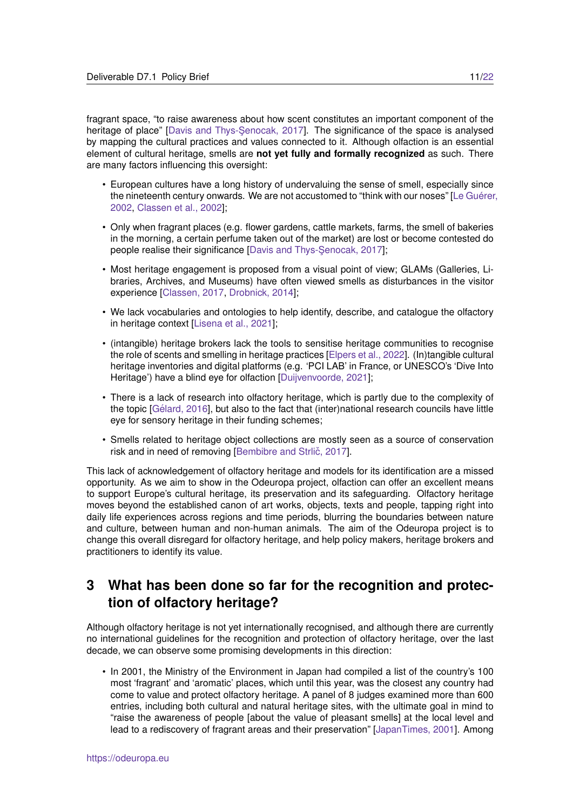fragrant space, "to raise awareness about how scent constitutes an important component of the heritage of place" [Davis and Thys-Senocak, 2017]. The significance of the space is analysed by mapping the cultural practices and values connected to it. Although olfaction is an essential element of cultural heritage, smells are **not yet fully and formally recognized** as such. There are many factors influencing this oversight:

- European cultures have a long history of undervaluing the sense of smell, especially since the nineteenth century onwards. We are not accustomed to "think with our noses" [Le Guérer, [2002,](#page-21-5) [Classen et al., 2002\]](#page-20-5);
- Only when fragrant places (e.g. flower gardens, cattle markets, farms, the smell of bakeries in the morning, a certain perfume taken out of the market) are lost or become contested do people realise their significance [Davis and Thys-Senocak, 2017];
- Most heritage engagement is proposed from a visual point of view; GLAMs (Galleries, Libraries, Archives, and Museums) have often viewed smells as disturbances in the visitor experience [\[Classen, 2017,](#page-20-6) [Drobnick, 2014\]](#page-20-7);
- We lack vocabularies and ontologies to help identify, describe, and catalogue the olfactory in heritage context [\[Lisena et al., 2021\]](#page-21-6);
- (intangible) heritage brokers lack the tools to sensitise heritage communities to recognise the role of scents and smelling in heritage practices [\[Elpers et al., 2022\]](#page-20-8). (In)tangible cultural heritage inventories and digital platforms (e.g. 'PCI LAB' in France, or UNESCO's 'Dive Into Heritage') have a blind eye for olfaction [\[Duijvenvoorde, 2021\]](#page-20-9);
- There is a lack of research into olfactory heritage, which is partly due to the complexity of the topic [Gélard, 2016], but also to the fact that (inter)national research councils have little eye for sensory heritage in their funding schemes;
- Smells related to heritage object collections are mostly seen as a source of conservation risk and in need of removing [Bembibre and Strlič, 2017].

This lack of acknowledgement of olfactory heritage and models for its identification are a missed opportunity. As we aim to show in the Odeuropa project, olfaction can offer an excellent means to support Europe's cultural heritage, its preservation and its safeguarding. Olfactory heritage moves beyond the established canon of art works, objects, texts and people, tapping right into daily life experiences across regions and time periods, blurring the boundaries between nature and culture, between human and non-human animals. The aim of the Odeuropa project is to change this overall disregard for olfactory heritage, and help policy makers, heritage brokers and practitioners to identify its value.

## <span id="page-10-0"></span>**3 What has been done so far for the recognition and protection of olfactory heritage?**

Although olfactory heritage is not yet internationally recognised, and although there are currently no international guidelines for the recognition and protection of olfactory heritage, over the last decade, we can observe some promising developments in this direction:

• In 2001, the Ministry of the Environment in Japan had compiled a list of the country's 100 most 'fragrant' and 'aromatic' places, which until this year, was the closest any country had come to value and protect olfactory heritage. A panel of 8 judges examined more than 600 entries, including both cultural and natural heritage sites, with the ultimate goal in mind to "raise the awareness of people [about the value of pleasant smells] at the local level and lead to a rediscovery of fragrant areas and their preservation" [\[JapanTimes, 2001\]](#page-21-7). Among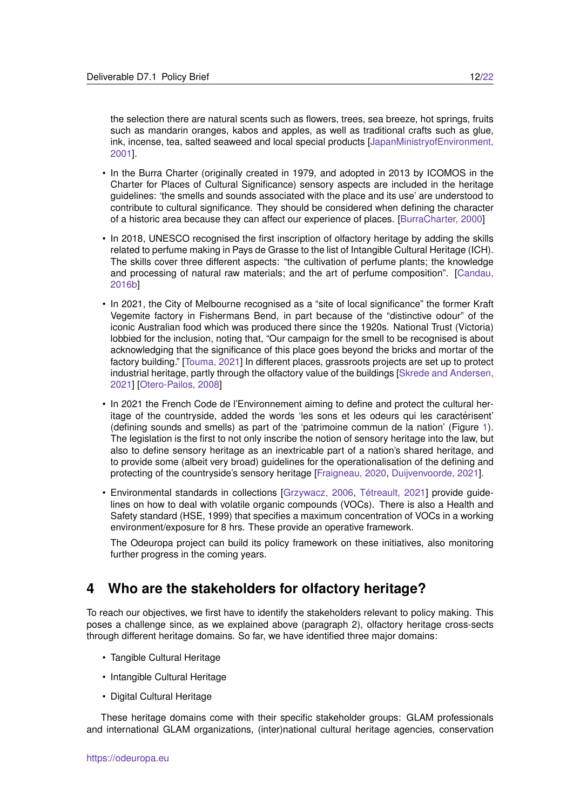the selection there are natural scents such as flowers, trees, sea breeze, hot springs, fruits such as mandarin oranges, kabos and apples, as well as traditional crafts such as glue, ink, incense, tea, salted seaweed and local special products [\[JapanMinistryofEnvironment,](#page-21-8) [2001\]](#page-21-8).

- In the Burra Charter (originally created in 1979, and adopted in 2013 by ICOMOS in the Charter for Places of Cultural Significance) sensory aspects are included in the heritage guidelines: 'the smells and sounds associated with the place and its use' are understood to contribute to cultural significance. They should be considered when defining the character of a historic area because they can affect our experience of places. [\[BurraCharter, 2000\]](#page-20-11)
- In 2018, UNESCO recognised the first inscription of olfactory heritage by adding the skills related to perfume making in Pays de Grasse to the list of Intangible Cultural Heritage (ICH). The skills cover three different aspects: "the cultivation of perfume plants; the knowledge and processing of natural raw materials; and the art of perfume composition". [\[Candau,](#page-20-12) [2016b\]](#page-20-12)
- In 2021, the City of Melbourne recognised as a "site of local significance" the former Kraft Vegemite factory in Fishermans Bend, in part because of the "distinctive odour" of the iconic Australian food which was produced there since the 1920s. National Trust (Victoria) lobbied for the inclusion, noting that, "Our campaign for the smell to be recognised is about acknowledging that the significance of this place goes beyond the bricks and mortar of the factory building." [\[Touma, 2021\]](#page-21-9) In different places, grassroots projects are set up to protect industrial heritage, partly through the olfactory value of the buildings [\[Skrede and Andersen,](#page-21-10) [2021\]](#page-21-10) [\[Otero-Pailos, 2008\]](#page-21-11)
- In 2021 the French Code de l'Environnement aiming to define and protect the cultural heritage of the countryside, added the words 'les sons et les odeurs qui les caractérisent' (defining sounds and smells) as part of the 'patrimoine commun de la nation' (Figure [1\)](#page-8-2). The legislation is the first to not only inscribe the notion of sensory heritage into the law, but also to define sensory heritage as an inextricable part of a nation's shared heritage, and to provide some (albeit very broad) guidelines for the operationalisation of the defining and protecting of the countryside's sensory heritage [\[Fraigneau, 2020,](#page-20-4) [Duijvenvoorde, 2021\]](#page-20-9).
- Environmental standards in collections [\[Grzywacz, 2006,](#page-20-13) Tétreault, 2021] provide guidelines on how to deal with volatile organic compounds (VOCs). There is also a Health and Safety standard (HSE, 1999) that specifies a maximum concentration of VOCs in a working environment/exposure for 8 hrs. These provide an operative framework.

The Odeuropa project can build its policy framework on these initiatives, also monitoring further progress in the coming years.

## <span id="page-11-0"></span>**4 Who are the stakeholders for olfactory heritage?**

To reach our objectives, we first have to identify the stakeholders relevant to policy making. This poses a challenge since, as we explained above (paragraph 2), olfactory heritage cross-sects through different heritage domains. So far, we have identified three major domains:

- Tangible Cultural Heritage
- Intangible Cultural Heritage
- Digital Cultural Heritage

These heritage domains come with their specific stakeholder groups: GLAM professionals and international GLAM organizations, (inter)national cultural heritage agencies, conservation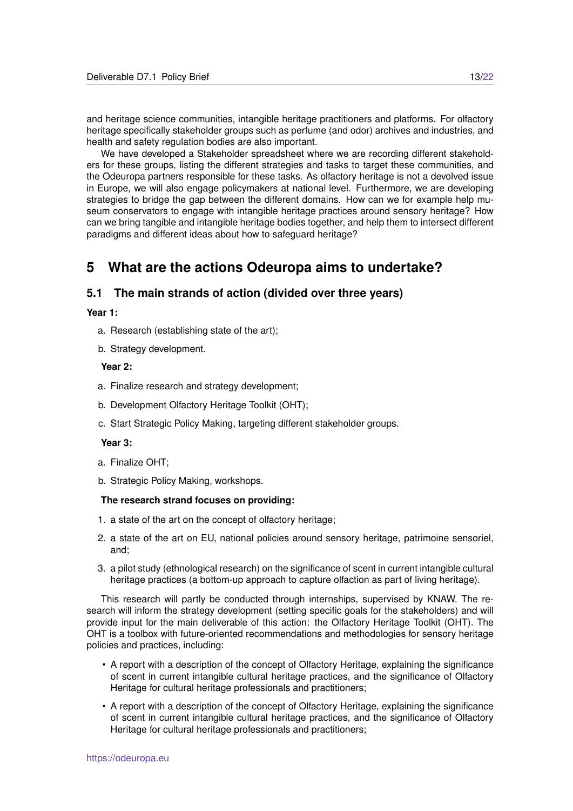and heritage science communities, intangible heritage practitioners and platforms. For olfactory heritage specifically stakeholder groups such as perfume (and odor) archives and industries, and health and safety regulation bodies are also important.

We have developed a Stakeholder spreadsheet where we are recording different stakeholders for these groups, listing the different strategies and tasks to target these communities, and the Odeuropa partners responsible for these tasks. As olfactory heritage is not a devolved issue in Europe, we will also engage policymakers at national level. Furthermore, we are developing strategies to bridge the gap between the different domains. How can we for example help museum conservators to engage with intangible heritage practices around sensory heritage? How can we bring tangible and intangible heritage bodies together, and help them to intersect different paradigms and different ideas about how to safeguard heritage?

## <span id="page-12-0"></span>**5 What are the actions Odeuropa aims to undertake?**

### <span id="page-12-1"></span>**5.1 The main strands of action (divided over three years)**

#### **Year 1:**

- a. Research (establishing state of the art);
- b. Strategy development.

#### **Year 2:**

- a. Finalize research and strategy development;
- b. Development Olfactory Heritage Toolkit (OHT);
- c. Start Strategic Policy Making, targeting different stakeholder groups.

#### **Year 3:**

- a. Finalize OHT;
- b. Strategic Policy Making, workshops.

#### **The research strand focuses on providing:**

- 1. a state of the art on the concept of olfactory heritage;
- 2. a state of the art on EU, national policies around sensory heritage, patrimoine sensoriel, and;
- 3. a pilot study (ethnological research) on the significance of scent in current intangible cultural heritage practices (a bottom-up approach to capture olfaction as part of living heritage).

This research will partly be conducted through internships, supervised by KNAW. The research will inform the strategy development (setting specific goals for the stakeholders) and will provide input for the main deliverable of this action: the Olfactory Heritage Toolkit (OHT). The OHT is a toolbox with future-oriented recommendations and methodologies for sensory heritage policies and practices, including:

- A report with a description of the concept of Olfactory Heritage, explaining the significance of scent in current intangible cultural heritage practices, and the significance of Olfactory Heritage for cultural heritage professionals and practitioners;
- A report with a description of the concept of Olfactory Heritage, explaining the significance of scent in current intangible cultural heritage practices, and the significance of Olfactory Heritage for cultural heritage professionals and practitioners;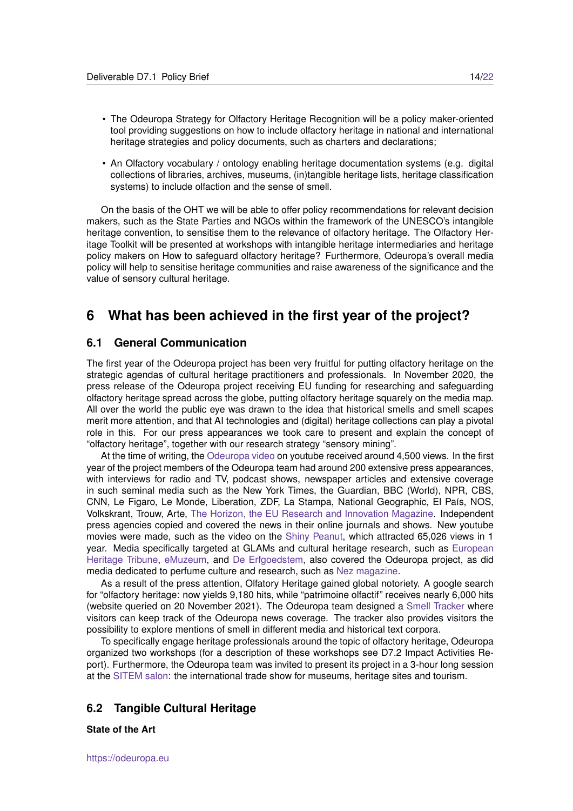- The Odeuropa Strategy for Olfactory Heritage Recognition will be a policy maker-oriented tool providing suggestions on how to include olfactory heritage in national and international heritage strategies and policy documents, such as charters and declarations;
- An Olfactory vocabulary / ontology enabling heritage documentation systems (e.g. digital collections of libraries, archives, museums, (in)tangible heritage lists, heritage classification systems) to include olfaction and the sense of smell.

On the basis of the OHT we will be able to offer policy recommendations for relevant decision makers, such as the State Parties and NGOs within the framework of the UNESCO's intangible heritage convention, to sensitise them to the relevance of olfactory heritage. The Olfactory Heritage Toolkit will be presented at workshops with intangible heritage intermediaries and heritage policy makers on How to safeguard olfactory heritage? Furthermore, Odeuropa's overall media policy will help to sensitise heritage communities and raise awareness of the significance and the value of sensory cultural heritage.

## <span id="page-13-0"></span>**6 What has been achieved in the first year of the project?**

### <span id="page-13-1"></span>**6.1 General Communication**

The first year of the Odeuropa project has been very fruitful for putting olfactory heritage on the strategic agendas of cultural heritage practitioners and professionals. In November 2020, the press release of the Odeuropa project receiving EU funding for researching and safeguarding olfactory heritage spread across the globe, putting olfactory heritage squarely on the media map. All over the world the public eye was drawn to the idea that historical smells and smell scapes merit more attention, and that AI technologies and (digital) heritage collections can play a pivotal role in this. For our press appearances we took care to present and explain the concept of "olfactory heritage", together with our research strategy "sensory mining".

At the time of writing, the [Odeuropa video](https://www.youtube.com/watch?v=m6iMmeFLvhg) on youtube received around 4,500 views. In the first year of the project members of the Odeuropa team had around 200 extensive press appearances, with interviews for radio and TV, podcast shows, newspaper articles and extensive coverage in such seminal media such as the New York Times, the Guardian, BBC (World), NPR, CBS, CNN, Le Figaro, Le Monde, Liberation, ZDF, La Stampa, National Geographic, El País, NOS, Volkskrant, Trouw, Arte, [The Horizon, the EU Research and Innovation Magazine.](https://ec.europa.eu/research-and-innovation/en/horizon-magazine/connection-past-ai-find-and-preserve-europes-historical-smells) Independent press agencies copied and covered the news in their online journals and shows. New youtube movies were made, such as the video on the [Shiny Peanut,](https://www.youtube.com/watch?v=0kV1n6TdHdY) which attracted 65,026 views in 1 year. Media specifically targeted at GLAMs and cultural heritage research, such as [European](https://heritagetribune.eu/europe/e2-8m-grant-for-research-on-smells-of-the-european-past/) [Heritage Tribune,](https://heritagetribune.eu/europe/e2-8m-grant-for-research-on-smells-of-the-european-past/) [eMuzeum,](http://emuzeum.cz/aktuality/digitalni-technologie/muzeum-vune) and [De Erfgoedstem,](https://erfgoedstem.nl/geur-als-erfgoed-hoe-rook-europa/) also covered the Odeuropa project, as did media dedicated to perfume culture and research, such as [Nez magazine.](https://mag.bynez.com/en/olfactory-culture/odeuropa-europe-s-olfactory-heritage/)

As a result of the press attention, Olfatory Heritage gained global notoriety. A google search for "olfactory heritage: now yields 9,180 hits, while "patrimoine olfactif" receives nearly 6,000 hits (website queried on 20 November 2021). The Odeuropa team designed a [Smell Tracker](https://odeuropa.ijs.si/dashboards/Main/Index?visualization=main-main) where visitors can keep track of the Odeuropa news coverage. The tracker also provides visitors the possibility to explore mentions of smell in different media and historical text corpora.

To specifically engage heritage professionals around the topic of olfactory heritage, Odeuropa organized two workshops (for a description of these workshops see D7.2 Impact Activities Report). Furthermore, the Odeuropa team was invited to present its project in a 3-hour long session at the [SITEM salon:](https://www.sitem.fr/conferences/odeuropa/) the international trade show for museums, heritage sites and tourism.

### <span id="page-13-2"></span>**6.2 Tangible Cultural Heritage**

**State of the Art**

<https://odeuropa.eu>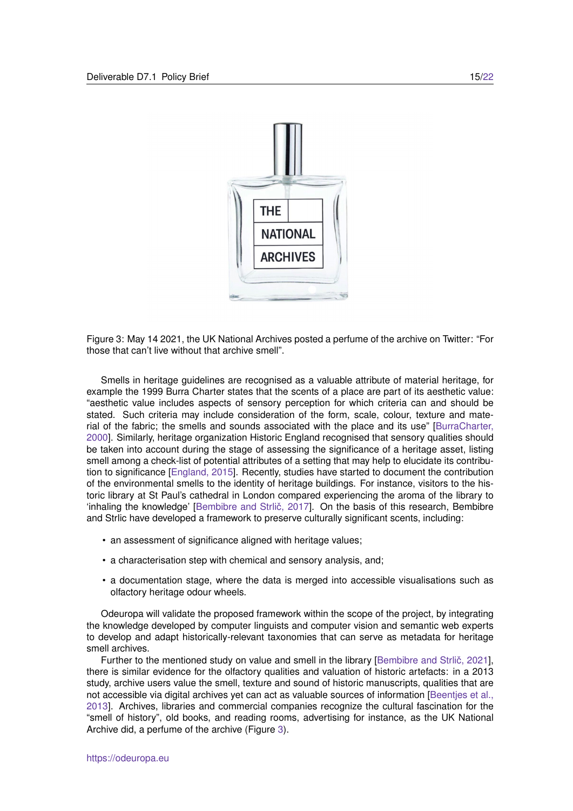

<span id="page-14-0"></span>Figure 3: May 14 2021, the UK National Archives posted a perfume of the archive on Twitter: "For those that can't live without that archive smell".

Smells in heritage guidelines are recognised as a valuable attribute of material heritage, for example the 1999 Burra Charter states that the scents of a place are part of its aesthetic value: "aesthetic value includes aspects of sensory perception for which criteria can and should be stated. Such criteria may include consideration of the form, scale, colour, texture and material of the fabric; the smells and sounds associated with the place and its use" [\[BurraCharter,](#page-20-11) [2000\]](#page-20-11). Similarly, heritage organization Historic England recognised that sensory qualities should be taken into account during the stage of assessing the significance of a heritage asset, listing smell among a check-list of potential attributes of a setting that may help to elucidate its contribution to significance [\[England, 2015\]](#page-20-14). Recently, studies have started to document the contribution of the environmental smells to the identity of heritage buildings. For instance, visitors to the historic library at St Paul's cathedral in London compared experiencing the aroma of the library to 'inhaling the knowledge' [Bembibre and Strlič, 2017]. On the basis of this research, Bembibre and Strlic have developed a framework to preserve culturally significant scents, including:

- an assessment of significance aligned with heritage values;
- a characterisation step with chemical and sensory analysis, and;
- a documentation stage, where the data is merged into accessible visualisations such as olfactory heritage odour wheels.

Odeuropa will validate the proposed framework within the scope of the project, by integrating the knowledge developed by computer linguists and computer vision and semantic web experts to develop and adapt historically-relevant taxonomies that can serve as metadata for heritage smell archives.

Further to the mentioned study on value and smell in the library [Bembibre and Strlič, 2021]. there is similar evidence for the olfactory qualities and valuation of historic artefacts: in a 2013 study, archive users value the smell, texture and sound of historic manuscripts, qualities that are not accessible via digital archives yet can act as valuable sources of information [\[Beentjes et al.,](#page-20-16) [2013\]](#page-20-16). Archives, libraries and commercial companies recognize the cultural fascination for the "smell of history", old books, and reading rooms, advertising for instance, as the UK National Archive did, a perfume of the archive (Figure [3\)](#page-14-0).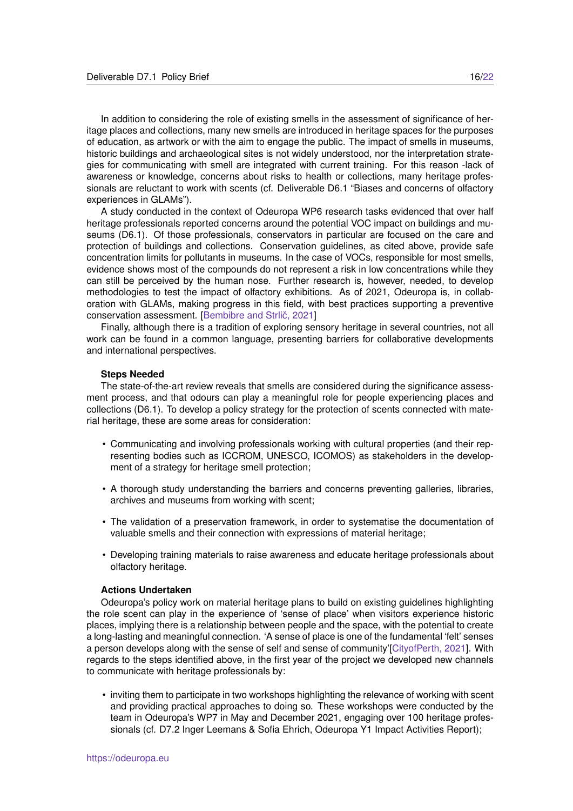In addition to considering the role of existing smells in the assessment of significance of heritage places and collections, many new smells are introduced in heritage spaces for the purposes of education, as artwork or with the aim to engage the public. The impact of smells in museums, historic buildings and archaeological sites is not widely understood, nor the interpretation strategies for communicating with smell are integrated with current training. For this reason -lack of awareness or knowledge, concerns about risks to health or collections, many heritage professionals are reluctant to work with scents (cf. Deliverable D6.1 "Biases and concerns of olfactory experiences in GLAMs").

A study conducted in the context of Odeuropa WP6 research tasks evidenced that over half heritage professionals reported concerns around the potential VOC impact on buildings and museums (D6.1). Of those professionals, conservators in particular are focused on the care and protection of buildings and collections. Conservation guidelines, as cited above, provide safe concentration limits for pollutants in museums. In the case of VOCs, responsible for most smells, evidence shows most of the compounds do not represent a risk in low concentrations while they can still be perceived by the human nose. Further research is, however, needed, to develop methodologies to test the impact of olfactory exhibitions. As of 2021, Odeuropa is, in collaboration with GLAMs, making progress in this field, with best practices supporting a preventive conservation assessment. [Bembibre and Strlič, 2021]

Finally, although there is a tradition of exploring sensory heritage in several countries, not all work can be found in a common language, presenting barriers for collaborative developments and international perspectives.

#### **Steps Needed**

The state-of-the-art review reveals that smells are considered during the significance assessment process, and that odours can play a meaningful role for people experiencing places and collections (D6.1). To develop a policy strategy for the protection of scents connected with material heritage, these are some areas for consideration:

- Communicating and involving professionals working with cultural properties (and their representing bodies such as ICCROM, UNESCO, ICOMOS) as stakeholders in the development of a strategy for heritage smell protection;
- A thorough study understanding the barriers and concerns preventing galleries, libraries, archives and museums from working with scent;
- The validation of a preservation framework, in order to systematise the documentation of valuable smells and their connection with expressions of material heritage;
- Developing training materials to raise awareness and educate heritage professionals about olfactory heritage.

#### **Actions Undertaken**

Odeuropa's policy work on material heritage plans to build on existing guidelines highlighting the role scent can play in the experience of 'sense of place' when visitors experience historic places, implying there is a relationship between people and the space, with the potential to create a long-lasting and meaningful connection. 'A sense of place is one of the fundamental 'felt' senses a person develops along with the sense of self and sense of community'[\[CityofPerth, 2021\]](#page-20-17). With regards to the steps identified above, in the first year of the project we developed new channels to communicate with heritage professionals by:

• inviting them to participate in two workshops highlighting the relevance of working with scent and providing practical approaches to doing so. These workshops were conducted by the team in Odeuropa's WP7 in May and December 2021, engaging over 100 heritage professionals (cf. D7.2 Inger Leemans & Sofia Ehrich, Odeuropa Y1 Impact Activities Report);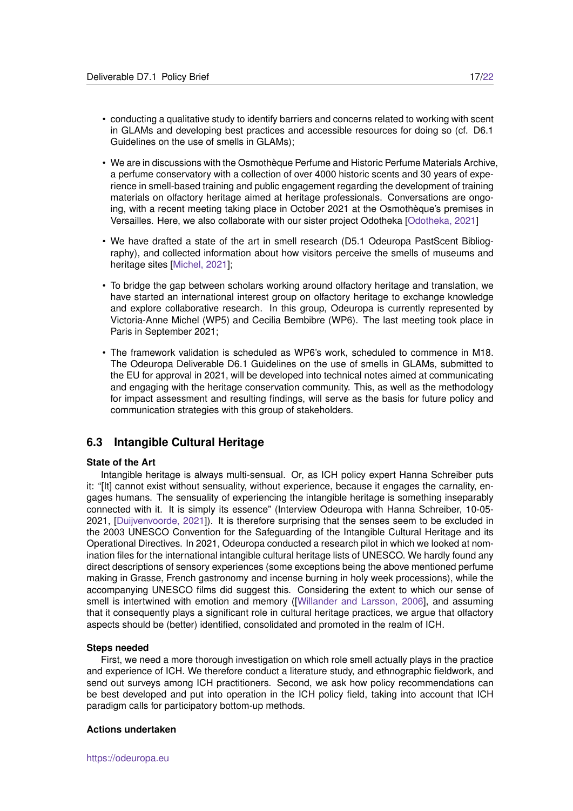- conducting a qualitative study to identify barriers and concerns related to working with scent in GLAMs and developing best practices and accessible resources for doing so (cf. D6.1 Guidelines on the use of smells in GLAMs);
- We are in discussions with the Osmothèque Perfume and Historic Perfume Materials Archive, a perfume conservatory with a collection of over 4000 historic scents and 30 years of experience in smell-based training and public engagement regarding the development of training materials on olfactory heritage aimed at heritage professionals. Conversations are ongoing, with a recent meeting taking place in October 2021 at the Osmotheque's premises in ` Versailles. Here, we also collaborate with our sister project Odotheka [\[Odotheka, 2021\]](#page-21-13)
- We have drafted a state of the art in smell research (D5.1 Odeuropa PastScent Bibliography), and collected information about how visitors perceive the smells of museums and heritage sites [\[Michel, 2021\]](#page-21-14);
- To bridge the gap between scholars working around olfactory heritage and translation, we have started an international interest group on olfactory heritage to exchange knowledge and explore collaborative research. In this group, Odeuropa is currently represented by Victoria-Anne Michel (WP5) and Cecilia Bembibre (WP6). The last meeting took place in Paris in September 2021;
- The framework validation is scheduled as WP6's work, scheduled to commence in M18. The Odeuropa Deliverable D6.1 Guidelines on the use of smells in GLAMs, submitted to the EU for approval in 2021, will be developed into technical notes aimed at communicating and engaging with the heritage conservation community. This, as well as the methodology for impact assessment and resulting findings, will serve as the basis for future policy and communication strategies with this group of stakeholders.

### <span id="page-16-0"></span>**6.3 Intangible Cultural Heritage**

#### **State of the Art**

Intangible heritage is always multi-sensual. Or, as ICH policy expert Hanna Schreiber puts it: "[It] cannot exist without sensuality, without experience, because it engages the carnality, engages humans. The sensuality of experiencing the intangible heritage is something inseparably connected with it. It is simply its essence" (Interview Odeuropa with Hanna Schreiber, 10-05- 2021, [\[Duijvenvoorde, 2021\]](#page-20-9)). It is therefore surprising that the senses seem to be excluded in the 2003 UNESCO Convention for the Safeguarding of the Intangible Cultural Heritage and its Operational Directives. In 2021, Odeuropa conducted a research pilot in which we looked at nomination files for the international intangible cultural heritage lists of UNESCO. We hardly found any direct descriptions of sensory experiences (some exceptions being the above mentioned perfume making in Grasse, French gastronomy and incense burning in holy week processions), while the accompanying UNESCO films did suggest this. Considering the extent to which our sense of smell is intertwined with emotion and memory ([\[Willander and Larsson, 2006\]](#page-21-15), and assuming that it consequently plays a significant role in cultural heritage practices, we argue that olfactory aspects should be (better) identified, consolidated and promoted in the realm of ICH.

#### **Steps needed**

First, we need a more thorough investigation on which role smell actually plays in the practice and experience of ICH. We therefore conduct a literature study, and ethnographic fieldwork, and send out surveys among ICH practitioners. Second, we ask how policy recommendations can be best developed and put into operation in the ICH policy field, taking into account that ICH paradigm calls for participatory bottom-up methods.

#### **Actions undertaken**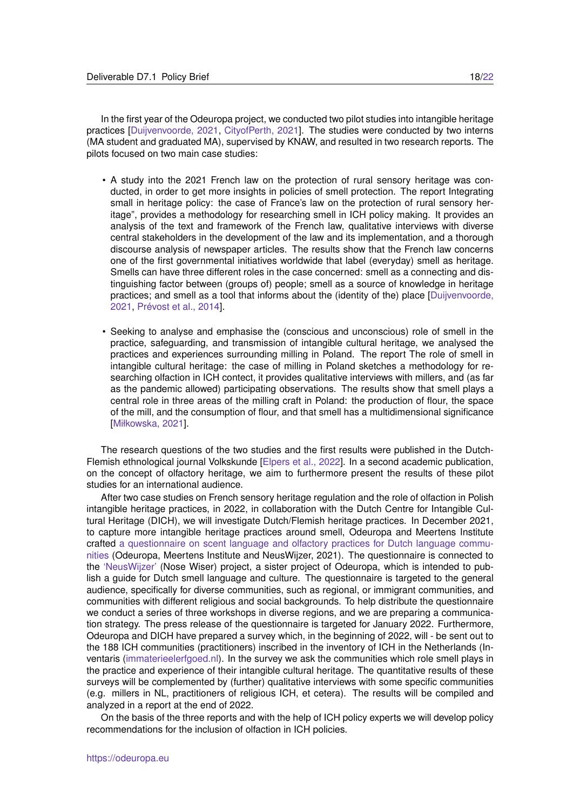In the first year of the Odeuropa project, we conducted two pilot studies into intangible heritage practices [\[Duijvenvoorde, 2021,](#page-20-9) [CityofPerth, 2021\]](#page-20-17). The studies were conducted by two interns (MA student and graduated MA), supervised by KNAW, and resulted in two research reports. The pilots focused on two main case studies:

- A study into the 2021 French law on the protection of rural sensory heritage was conducted, in order to get more insights in policies of smell protection. The report Integrating small in heritage policy: the case of France's law on the protection of rural sensory heritage", provides a methodology for researching smell in ICH policy making. It provides an analysis of the text and framework of the French law, qualitative interviews with diverse central stakeholders in the development of the law and its implementation, and a thorough discourse analysis of newspaper articles. The results show that the French law concerns one of the first governmental initiatives worldwide that label (everyday) smell as heritage. Smells can have three different roles in the case concerned: smell as a connecting and distinguishing factor between (groups of) people; smell as a source of knowledge in heritage practices; and smell as a tool that informs about the (identity of the) place [\[Duijvenvoorde,](#page-20-9) [2021,](#page-20-9) Prévost et al., 2014].
- Seeking to analyse and emphasise the (conscious and unconscious) role of smell in the practice, safeguarding, and transmission of intangible cultural heritage, we analysed the practices and experiences surrounding milling in Poland. The report The role of smell in intangible cultural heritage: the case of milling in Poland sketches a methodology for researching olfaction in ICH contect, it provides qualitative interviews with millers, and (as far as the pandemic allowed) participating observations. The results show that smell plays a central role in three areas of the milling craft in Poland: the production of flour, the space of the mill, and the consumption of flour, and that smell has a multidimensional significance [\[Miłkowska, 2021\]](#page-21-17).

The research questions of the two studies and the first results were published in the Dutch-Flemish ethnological journal Volkskunde [\[Elpers et al., 2022\]](#page-20-8). In a second academic publication, on the concept of olfactory heritage, we aim to furthermore present the results of these pilot studies for an international audience.

After two case studies on French sensory heritage regulation and the role of olfaction in Polish intangible heritage practices, in 2022, in collaboration with the Dutch Centre for Intangible Cultural Heritage (DICH), we will investigate Dutch/Flemish heritage practices. In December 2021, to capture more intangible heritage practices around smell, Odeuropa and Meertens Institute crafted [a questionnaire on scent language and olfactory practices for Dutch language commu](https://geurtaal.survey.clariah.nl/index.php/825654)[nities](https://geurtaal.survey.clariah.nl/index.php/825654) (Odeuropa, Meertens Institute and NeusWijzer, 2021). The questionnaire is connected to the ['NeusWijzer'](https://odeuropa.eu/neuswijzer-de-allereerste-nederlandse-geurwoordengids/) (Nose Wiser) project, a sister project of Odeuropa, which is intended to publish a guide for Dutch smell language and culture. The questionnaire is targeted to the general audience, specifically for diverse communities, such as regional, or immigrant communities, and communities with different religious and social backgrounds. To help distribute the questionnaire we conduct a series of three workshops in diverse regions, and we are preparing a communication strategy. The press release of the questionnaire is targeted for January 2022. Furthermore, Odeuropa and DICH have prepared a survey which, in the beginning of 2022, will - be sent out to the 188 ICH communities (practitioners) inscribed in the inventory of ICH in the Netherlands (Inventaris [\(immaterieelerfgoed.nl\)](immaterieelerfgoed.nl). In the survey we ask the communities which role smell plays in the practice and experience of their intangible cultural heritage. The quantitative results of these surveys will be complemented by (further) qualitative interviews with some specific communities (e.g. millers in NL, practitioners of religious ICH, et cetera). The results will be compiled and analyzed in a report at the end of 2022.

On the basis of the three reports and with the help of ICH policy experts we will develop policy recommendations for the inclusion of olfaction in ICH policies.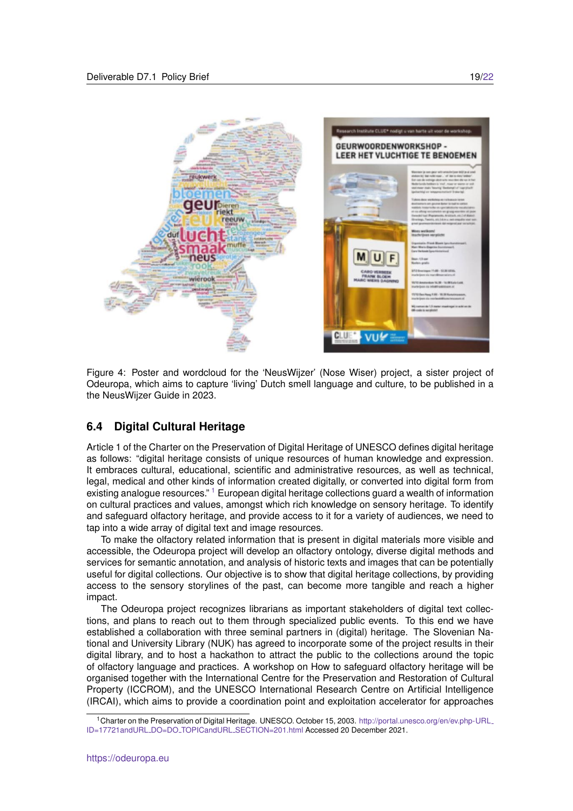

Figure 4: Poster and wordcloud for the 'NeusWijzer' (Nose Wiser) project, a sister project of Odeuropa, which aims to capture 'living' Dutch smell language and culture, to be published in a the NeusWijzer Guide in 2023.

### <span id="page-18-0"></span>**6.4 Digital Cultural Heritage**

Article 1 of the Charter on the Preservation of Digital Heritage of UNESCO defines digital heritage as follows: "digital heritage consists of unique resources of human knowledge and expression. It embraces cultural, educational, scientific and administrative resources, as well as technical, legal, medical and other kinds of information created digitally, or converted into digital form from existing analogue resources." [1](#page-18-1) European digital heritage collections guard a wealth of information on cultural practices and values, amongst which rich knowledge on sensory heritage. To identify and safeguard olfactory heritage, and provide access to it for a variety of audiences, we need to tap into a wide array of digital text and image resources.

To make the olfactory related information that is present in digital materials more visible and accessible, the Odeuropa project will develop an olfactory ontology, diverse digital methods and services for semantic annotation, and analysis of historic texts and images that can be potentially useful for digital collections. Our objective is to show that digital heritage collections, by providing access to the sensory storylines of the past, can become more tangible and reach a higher impact.

The Odeuropa project recognizes librarians as important stakeholders of digital text collections, and plans to reach out to them through specialized public events. To this end we have established a collaboration with three seminal partners in (digital) heritage. The Slovenian National and University Library (NUK) has agreed to incorporate some of the project results in their digital library, and to host a hackathon to attract the public to the collections around the topic of olfactory language and practices. A workshop on How to safeguard olfactory heritage will be organised together with the International Centre for the Preservation and Restoration of Cultural Property (ICCROM), and the UNESCO International Research Centre on Artificial Intelligence (IRCAI), which aims to provide a coordination point and exploitation accelerator for approaches

<span id="page-18-1"></span><sup>1</sup>Charter on the Preservation of Digital Heritage. UNESCO. October 15, 2003. [http://portal.unesco.org/en/ev.php-URL](http://portal.unesco.org/en/ev.php-URL_ID=17721andURL_DO=DO_TOPICandURL_SECTION=201.html) ID=17721andURL DO=DO TOPICandURL [SECTION=201.html](http://portal.unesco.org/en/ev.php-URL_ID=17721andURL_DO=DO_TOPICandURL_SECTION=201.html) Accessed 20 December 2021.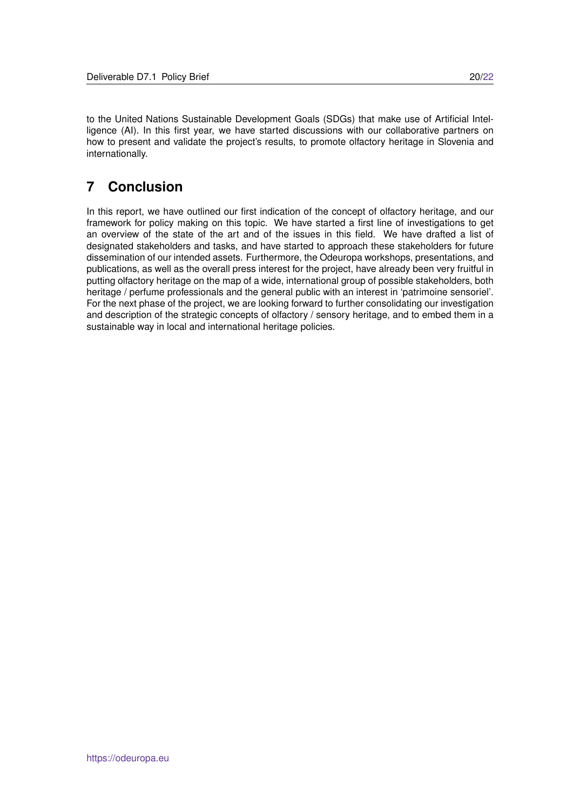to the United Nations Sustainable Development Goals (SDGs) that make use of Artificial Intelligence (AI). In this first year, we have started discussions with our collaborative partners on how to present and validate the project's results, to promote olfactory heritage in Slovenia and internationally.

# <span id="page-19-0"></span>**7 Conclusion**

In this report, we have outlined our first indication of the concept of olfactory heritage, and our framework for policy making on this topic. We have started a first line of investigations to get an overview of the state of the art and of the issues in this field. We have drafted a list of designated stakeholders and tasks, and have started to approach these stakeholders for future dissemination of our intended assets. Furthermore, the Odeuropa workshops, presentations, and publications, as well as the overall press interest for the project, have already been very fruitful in putting olfactory heritage on the map of a wide, international group of possible stakeholders, both heritage / perfume professionals and the general public with an interest in 'patrimoine sensoriel'. For the next phase of the project, we are looking forward to further consolidating our investigation and description of the strategic concepts of olfactory / sensory heritage, and to embed them in a sustainable way in local and international heritage policies.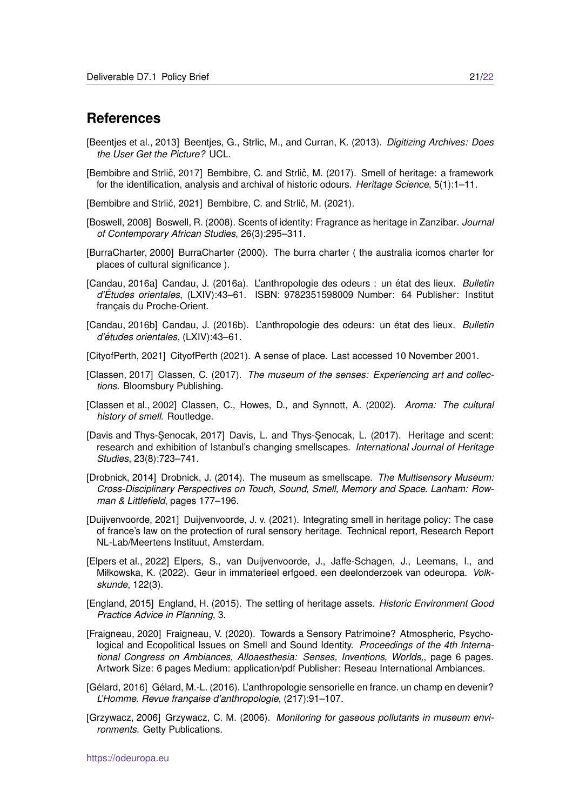### **References**

- <span id="page-20-16"></span>[Beentjes et al., 2013] Beentjes, G., Strlic, M., and Curran, K. (2013). *Digitizing Archives: Does the User Get the Picture?* UCL.
- <span id="page-20-0"></span>[Bembibre and Strlič, 2017] Bembibre, C. and Strlič, M. (2017). Smell of heritage: a framework for the identification, analysis and archival of historic odours. *Heritage Science*, 5(1):1–11.
- <span id="page-20-15"></span>[Bembibre and Strlič, 2021] Bembibre, C. and Strlič, M. (2021).
- <span id="page-20-1"></span>[Boswell, 2008] Boswell, R. (2008). Scents of identity: Fragrance as heritage in Zanzibar. *Journal of Contemporary African Studies*, 26(3):295–311.
- <span id="page-20-11"></span>[BurraCharter, 2000] BurraCharter (2000). The burra charter ( the australia icomos charter for places of cultural significance ).
- <span id="page-20-3"></span>[Candau, 2016a] Candau, J. (2016a). L'anthropologie des odeurs : un etat des lieux. ´ *Bulletin d'Etudes orientales ´* , (LXIV):43–61. ISBN: 9782351598009 Number: 64 Publisher: Institut français du Proche-Orient.
- <span id="page-20-12"></span>[Candau, 2016b] Candau, J. (2016b). L'anthropologie des odeurs: un etat des lieux. ´ *Bulletin d'etudes orientales ´* , (LXIV):43–61.

<span id="page-20-17"></span>[CityofPerth, 2021] CityofPerth (2021). A sense of place. Last accessed 10 November 2001.

- <span id="page-20-6"></span>[Classen, 2017] Classen, C. (2017). *The museum of the senses: Experiencing art and collections*. Bloomsbury Publishing.
- <span id="page-20-5"></span>[Classen et al., 2002] Classen, C., Howes, D., and Synnott, A. (2002). *Aroma: The cultural history of smell*. Routledge.
- <span id="page-20-2"></span>[Davis and Thys-Şenocak, 2017] Davis, L. and Thys-Şenocak, L. (2017). Heritage and scent: research and exhibition of Istanbul's changing smellscapes. *International Journal of Heritage Studies*, 23(8):723–741.
- <span id="page-20-7"></span>[Drobnick, 2014] Drobnick, J. (2014). The museum as smellscape. *The Multisensory Museum: Cross-Disciplinary Perspectives on Touch, Sound, Smell, Memory and Space. Lanham: Rowman & Littlefield*, pages 177–196.
- <span id="page-20-9"></span>[Duijvenvoorde, 2021] Duijvenvoorde, J. v. (2021). Integrating smell in heritage policy: The case of france's law on the protection of rural sensory heritage. Technical report, Research Report NL-Lab/Meertens Instituut, Amsterdam.
- <span id="page-20-8"></span>[Elpers et al., 2022] Elpers, S., van Duijvenvoorde, J., Jaffe-Schagen, J., Leemans, I., and Miłkowska, K. (2022). Geur in immaterieel erfgoed. een deelonderzoek van odeuropa. *Volkskunde*, 122(3).
- <span id="page-20-14"></span>[England, 2015] England, H. (2015). The setting of heritage assets. *Historic Environment Good Practice Advice in Planning*, 3.
- <span id="page-20-4"></span>[Fraigneau, 2020] Fraigneau, V. (2020). Towards a Sensory Patrimoine? Atmospheric, Psychological and Ecopolitical Issues on Smell and Sound Identity. *Proceedings of the 4th International Congress on Ambiances, Alloaesthesia: Senses, Inventions, Worlds,*, page 6 pages. Artwork Size: 6 pages Medium: application/pdf Publisher: Reseau International Ambiances.
- <span id="page-20-10"></span>[Gélard, 2016] Gélard, M.-L. (2016). L'anthropologie sensorielle en france. un champ en devenir? L'Homme. Revue française d'anthropologie, (217):91-107.
- <span id="page-20-13"></span>[Grzywacz, 2006] Grzywacz, C. M. (2006). *Monitoring for gaseous pollutants in museum environments*. Getty Publications.